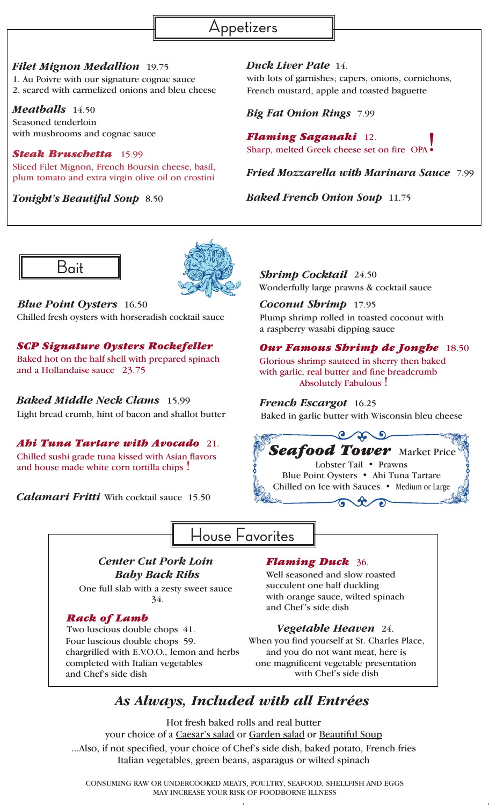

*Filet Mignon Medallion* 19.75 1. Au Poivre with our signature cognac sauce 2. seared with carmelized onions and bleu cheese

*Meatballs* 14.50 Seasoned tenderloin

with mushrooms and cognac sauce

*Steak Bruschetta* 15.99 Sliced Filet Mignon, French Boursin cheese, basil, plum tomato and extra virgin olive oil on crostini

*Duck Liver Pate* 14. with lots of garnishes; capers, onions, cornichons, French mustard, apple and toasted baguette

*Big Fat Onion Rings* 7.99

*Flaming Saganaki* 12. Sharp, melted Greek cheese set on fire OPA

*Fried Mozzarella with Marinara Sauce* 7.99

*Tonight's Beautiful Soup* 8.50 *Baked French Onion Soup* 11.75



Bait *Shrimp Cocktail* 24.50

*Blue Point Oysters* 16.50 Chilled fresh oysters with horseradish cocktail sauce

## *SCP Signature Oysters Rockefeller*

Baked hot on the half shell with prepared spinach and a Hollandaise sauce 23.75

*Baked Middle Neck Clams* 15.99 Light bread crumb, hint of bacon and shallot butter

*Ahi Tuna Tartare with Avocado* 21. Chilled sushi grade tuna kissed with Asian flavors and house made white corn tortilla chips !

*Calamari Fritti* With cocktail sauce 15.50



Wonderfully large prawns & cocktail sauce

*Coconut Shrimp* 17.95 Plump shrimp rolled in toasted coconut with a raspberry wasabi dipping sauce

## *Our Famous Shrimp de Jonghe* 18.50

Glorious shrimp sauteed in sherry then baked with garlic, real butter and fine breadcrumb Absolutely Fabulous !

## *French Escargot* 16.25

Baked in garlic butter with Wisconsin bleu cheese



House Favorites

## *Center Cut Pork Loin Baby Back Ribs*

One full slab with a zesty sweet sauce 34.

## *Rack of Lamb*

Two luscious double chops 41. Four luscious double chops 59. chargrilled with E.V.O.O., lemon and herbs completed with Italian vegetables and Chef's side dish

## *Flaming Duck* 36.

Well seasoned and slow roasted succulent one half duckling with orange sauce, wilted spinach and Chef's side dish

## *Vegetable Heaven* 24.

When you find yourself at St. Charles Place, and you do not want meat, here is one magnificent vegetable presentation with Chef's side dish

# *As Always, Included with all Entrées*

Hot fresh baked rolls and real butter your choice of a Caesar's salad or Garden salad or Beautiful Soup

...Also, if not specified, your choice of Chef's side dish, baked potato, French fries Italian vegetables, green beans, asparagus or wilted spinach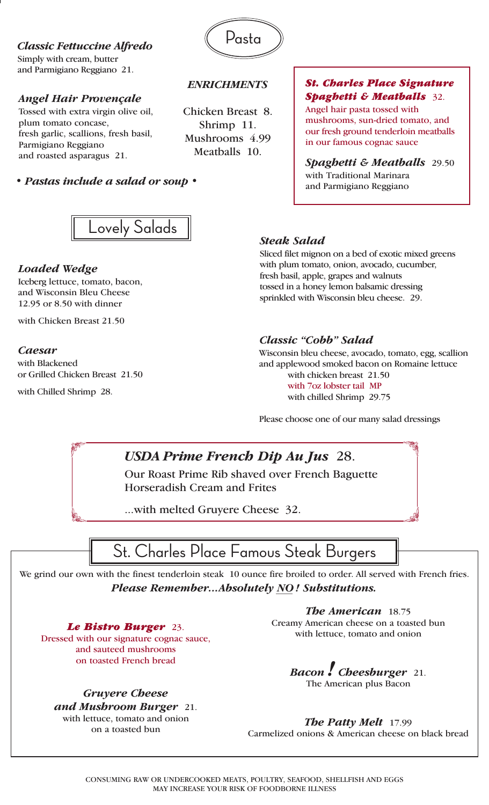*Classic Fettuccine Alfredo* Simply with cream, butter and Parmigiano Reggiano 21.

### *Angel Hair Provençale*

Tossed with extra virgin olive oil, plum tomato concase, fresh garlic, scallions, fresh basil, Parmigiano Reggiano and roasted asparagus 21.

*• Pastas include a salad or soup •*



### *ENRICHMENTS*

Chicken Breast 8. Shrimp 11. Mushrooms 4.99 Meatballs 10.

### *St. Charles Place Signature Spaghetti & Meatballs* 32.

Angel hair pasta tossed with mushrooms, sun-dried tomato, and our fresh ground tenderloin meatballs in our famous cognac sauce

*Spaghetti & Meatballs* 29.50 with Traditional Marinara and Parmigiano Reggiano



### *Loaded Wedge*

Iceberg lettuce, tomato, bacon, and Wisconsin Bleu Cheese 12.95 or 8.50 with dinner

with Chicken Breast 21.50

### *Caesar*

with Blackened or Grilled Chicken Breast 21.50

with Chilled Shrimp 28.

### *Steak Salad*

Sliced filet mignon on a bed of exotic mixed greens with plum tomato, onion, avocado, cucumber, fresh basil, apple, grapes and walnuts tossed in a honey lemon balsamic dressing sprinkled with Wisconsin bleu cheese. 29.

### *Classic "Cobb" Salad*

Wisconsin bleu cheese, avocado, tomato, egg, scallion and applewood smoked bacon on Romaine lettuce with chicken breast 21.50 with 7oz lobster tail MP with chilled Shrimp 29.75

Please choose one of our many salad dressings

## *USDA Prime French Dip Au Jus* 28.

Our Roast Prime Rib shaved over French Baguette Horseradish Cream and Frites

...with melted Gruyere Cheese 32.



We grind our own with the finest tenderloin steak 10 ounce fire broiled to order. All served with French fries. *Please Remember...Absolutely NO ! Substitutions.*

*Le Bistro Burger* 23.

Dressed with our signature cognac sauce, and sauteed mushrooms on toasted French bread

*Gruyere Cheese and Mushroom Burger* 21. with lettuce, tomato and onion on a toasted bun

*The American* 18.75 Creamy American cheese on a toasted bun with lettuce, tomato and onion

*Bacon ! Cheesburger* 21. The American plus Bacon

### *The Patty Melt* 17.99

Carmelized onions & American cheese on black bread

CONSUMING RAW OR UNDERCOOKED MEATS, POULTRY, SEAFOOD, SHELLFISH AND EGGS MAY INCREASE YOUR RISK OF FOODBORNE ILLNESS